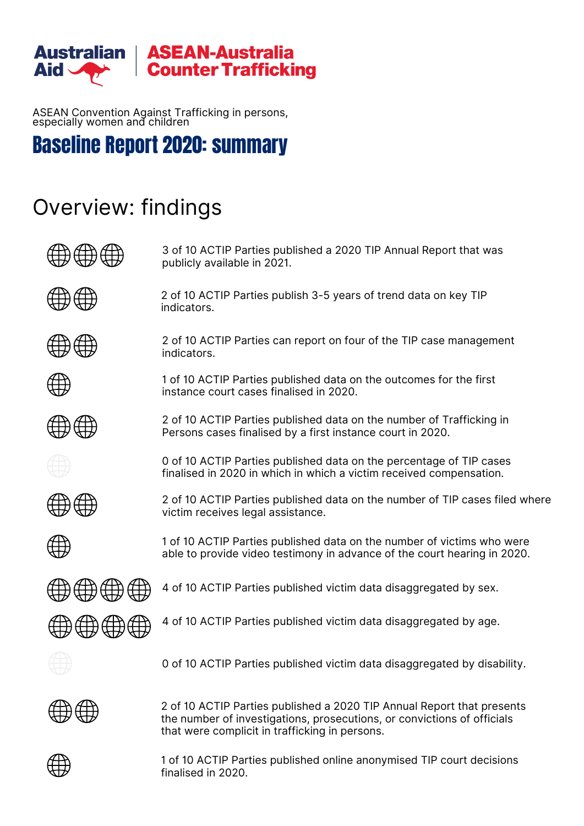

ASEAN Convention Against Trafficking in persons, especially women and children

## Baseline Report 2020: summary

# Overview: findings

| 3 of 10 ACTIP Parties published a 2020 TIP Annual Report that was<br>publicly available in 2021.                                                                                                    |
|-----------------------------------------------------------------------------------------------------------------------------------------------------------------------------------------------------|
| 2 of 10 ACTIP Parties publish 3-5 years of trend data on key TIP<br>indicators.                                                                                                                     |
| 2 of 10 ACTIP Parties can report on four of the TIP case management<br>indicators.                                                                                                                  |
| 1 of 10 ACTIP Parties published data on the outcomes for the first<br>instance court cases finalised in 2020.                                                                                       |
| 2 of 10 ACTIP Parties published data on the number of Trafficking in<br>Persons cases finalised by a first instance court in 2020.                                                                  |
| 0 of 10 ACTIP Parties published data on the percentage of TIP cases<br>finalised in 2020 in which in which a victim received compensation.                                                          |
| 2 of 10 ACTIP Parties published data on the number of TIP cases filed where<br>victim receives legal assistance.                                                                                    |
| 1 of 10 ACTIP Parties published data on the number of victims who were<br>able to provide video testimony in advance of the court hearing in 2020.                                                  |
| 4 of 10 ACTIP Parties published victim data disaggregated by sex.                                                                                                                                   |
| 4 of 10 ACTIP Parties published victim data disaggregated by age.                                                                                                                                   |
| 0 of 10 ACTIP Parties published victim data disaggregated by disability.                                                                                                                            |
| 2 of 10 ACTIP Parties published a 2020 TIP Annual Report that presents<br>the number of investigations, prosecutions, or convictions of officials<br>that were complicit in trafficking in persons. |

1 of 10 ACTIP Parties published online anonymised TIP court decisions finalised in 2020.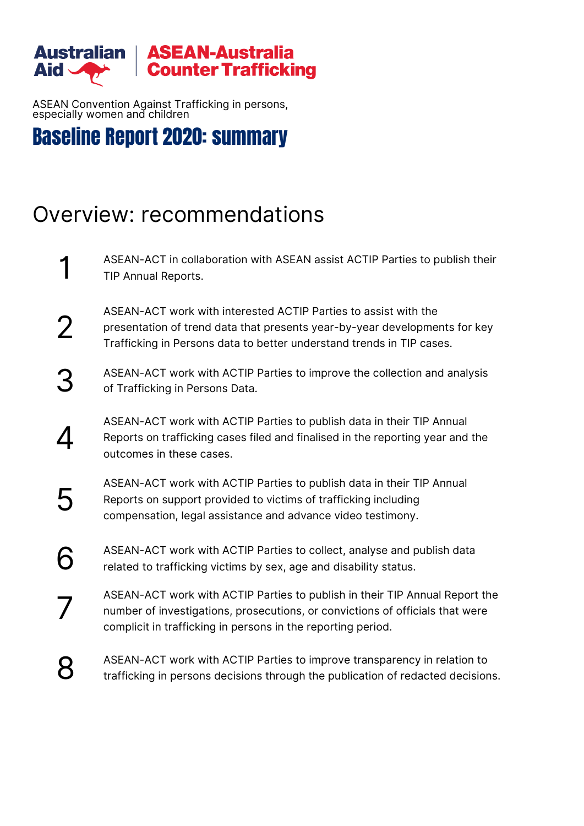

ASEAN Convention Against Trafficking in persons, especially women and children

### Baseline Report 2020: summary

# Overview: recommendations

- ASEAN-ACT in collaboration with ASEAN assist ACTIP Parties to publish their TIP Annual Reports. 1
- ASEAN-ACT work with interested ACTIP Parties to assist with the presentation of trend data that presents year-by-year developments for key Trafficking in Persons data to better understand trends in TIP cases. 2
- ASEAN-ACT work with ACTIP Parties to improve the collection and analysis of Trafficking in Persons Data. 3.
- ASEAN-ACT work with ACTIP Parties to publish data in their TIP Annual Reports on trafficking cases filed and finalised in the reporting year and the outcomes in these cases.  $\boldsymbol{\varDelta}$
- ASEAN-ACT work with ACTIP Parties to publish data in their TIP Annual Reports on support provided to victims of trafficking including compensation, legal assistance and advance video testimony. 5
- ASEAN-ACT work with ACTIP Parties to collect, analyse and publish data related to trafficking victims by sex, age and disability status. 6
- ASEAN-ACT work with ACTIP Parties to publish in their TIP Annual Report the number of investigations, prosecutions, or convictions of officials that were complicit in trafficking in persons in the reporting period. 7
- ASEAN-ACT work with ACTIP Parties to improve transparency in relation to trafficking in persons decisions through the publication of redacted decisions. 8